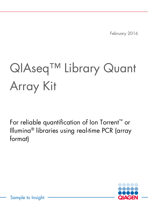February 2016

# QIAseq<sup>™</sup> Library Quant Array Kit

For reliable quantification of Ion Torrent™ or Illumina® libraries using real-time PCR (array format)



Sample to Insight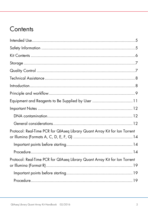# Contents

| Equipment and Reagents to Be Supplied by User 11                           |  |
|----------------------------------------------------------------------------|--|
|                                                                            |  |
|                                                                            |  |
|                                                                            |  |
| Protocol: Real-Time PCR for QIAseq Library Quant Array Kit for Ion Torrent |  |
|                                                                            |  |
|                                                                            |  |
| Protocol: Real-Time PCR for QIAseq Library Quant Array Kit for Ion Torrent |  |
|                                                                            |  |
|                                                                            |  |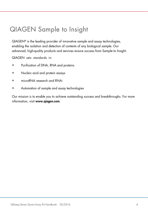# QIAGEN Sample to Insight

QIAGEN® is the leading provider of innovative sample and assay technologies, enabling the isolation and detection of contents of any biological sample. Our advanced, high-quality products and services ensure success from Sample to Insight.

QIAGEN sets standards in:

- Purification of DNA, RNA and proteins
- Nucleic acid and protein assays
- microRNA research and RNAi
- Automation of sample and assay technologies

Our mission is to enable you to achieve outstanding success and breakthroughs. For more information, visit www.qiagen.com.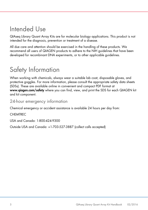### <span id="page-4-0"></span>Intended Use

QIAseq Library Quant Array Kits are for molecular biology applications. This product is not intended for the diagnosis, prevention or treatment of a disease.

All due care and attention should be exercised in the handling of these products. We recommend all users of QIAGEN products to adhere to the NIH guidelines that have been developed for recombinant DNA experiments, or to other applicable guidelines.

# <span id="page-4-1"></span>Safety Information

When working with chemicals, always wear a suitable lab coat, disposable gloves, and protective goggles. For more information, please consult the appropriate safety data sheets (SDSs). These are available online in convenient and compact PDF format at www.qiagen.com/safety where you can find, view, and print the SDS for each QIAGEN kit and kit component.

### 24-hour emergency information

Chemical emergency or accident assistance is available 24 hours per day from:

CHEMTREC

USA and Canada: 1-800-424-9300

Outside USA and Canada: +1-703-527-3887 (collect calls accepted)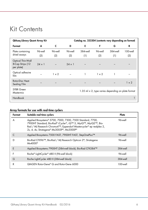### <span id="page-5-0"></span>Kit Contents

| <b>QIAseq Library Quant Array Kit</b>               |                |                | Catalog no. 333304 (contents vary depending on format) |                 |                |                                                           |                 |  |  |  |  |  |
|-----------------------------------------------------|----------------|----------------|--------------------------------------------------------|-----------------|----------------|-----------------------------------------------------------|-----------------|--|--|--|--|--|
| Format                                              | A              | C              | D                                                      | Е               | F              | G                                                         | R               |  |  |  |  |  |
| Plate containing<br>dried assays                    | 96-well<br>(2) | 96-well<br>(2) | 96-well<br>(2)                                         | 384-well<br>(1) | 96-well<br>(2) | 384-well<br>(1)                                           | 100-well<br>(2) |  |  |  |  |  |
| Optical Thin-Wall<br>8-Cap Strips (12<br>per plate) | $24 \times 1$  |                | $24 \times 1$                                          |                 |                |                                                           |                 |  |  |  |  |  |
| Optical adhesive<br>film                            |                | $1 \times 2$   |                                                        |                 | $1 \times 2$   |                                                           |                 |  |  |  |  |  |
| Rotor-Disc Heat-<br>Sealing Film                    |                |                |                                                        |                 |                |                                                           | $1 \times 2$    |  |  |  |  |  |
| SYBR Green<br>Mastermix                             |                |                |                                                        |                 |                | 1.35 ml $\times$ 2, type varies depending on plate format |                 |  |  |  |  |  |
| Handbook                                            |                |                |                                                        |                 |                |                                                           |                 |  |  |  |  |  |

#### Array formats for use with real-time cyclers

<span id="page-5-1"></span>

| Format | Suitable real-time cyclers                                                                                                                                                                                                                      | Plate    |
|--------|-------------------------------------------------------------------------------------------------------------------------------------------------------------------------------------------------------------------------------------------------|----------|
| A      | Applied Biosystems® 5700, 7000, 7300, 7500 Standard, 7700,<br>7900HT Standard; Bio-Rad® iCycler®, iQ™ 5, MyiQ™, MyiQ2™, Bio-<br>Rad / MJ Research Chromo4™; Eppendorf Mastercycler® ep realplex 2,<br>2s, 4, 4s; Stratagene® Mx3005P®, Mx3000P® | 96-well  |
|        | Applied Biosystems 7500 FAST, 7900HT FAST, StepOnePlus™                                                                                                                                                                                         | 96-well  |
| D      | Bio-Rad CFX96™, Bio-Rad / MJ Research Opticon 2 <sup>®</sup> ; Stratagene<br>$Mx4000^\circ$                                                                                                                                                     | 96-well  |
| E      | Applied Biosystems 7900HT (384-well block); Bio-Rad CFX384™                                                                                                                                                                                     | 384-well |
|        | Roche® LightCycler® 480 II (96-well block)                                                                                                                                                                                                      | 96-well  |
| G      | Roche LightCycler 480 II (384-well block)                                                                                                                                                                                                       | 384-well |
| R      | QIAGEN Rotor-Gene <sup>®</sup> Q and Rotor-Gene 6000                                                                                                                                                                                            | 100-well |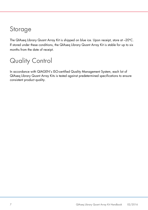### Storage

The QIAseq Library Quant Array Kit is shipped on blue ice. Upon receipt, store at –20**°**C. If stored under these conditions, the QIAseq Library Quant Array Kit is stable for up to six months from the date of receipt.

# <span id="page-6-0"></span>Quality Control

In accordance with QIAGEN's ISO-certified Quality Management System, each lot of QIAseq Library Quant Array Kits is tested against predetermined specifications to ensure consistent product quality.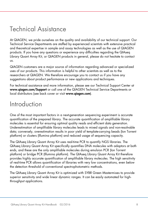# <span id="page-7-0"></span>Technical Assistance

At QIAGEN, we pride ourselves on the quality and availability of our technical support. Our Technical Service Departments are staffed by experienced scientists with extensive practical and theoretical expertise in sample and assay technologies as well as the use of QIAGEN products. If you have any questions or experience any difficulties regarding the QIAseq Library Quant Array Kit, or QIAGEN products in general, please do not hesitate to contact us.

QIAGEN customers are a major source of information regarding advanced or specialized uses of our products. This information is helpful to other scientists as well as to the researchers at QIAGEN. We therefore encourage you to contact us if you have any suggestions about product performance or new applications and techniques.

For technical assistance and more information, please see our Technical Support Center at [www.qiagen.com/Support](http://www.qiagen.com/Support) or call one of the QIAGEN Technical Service Departments or local distributors (see back cover or visit www.aiagen.com).

### <span id="page-7-1"></span>Introduction

One of the most important factors in a next-generation sequencing experiment is accurate quantification of the prepared library. The accurate quantification of amplifiable library molecules is essential for ensuring optimal quality reads and efficient data generation. Underestimation of amplifiable library molecules leads to mixed signals and non-resolvable data; conversely, overestimation results in poor yield of template-carrying beads (Ion Torrent platform) or clusters (Illumina platform) and reduced usage of sequencing capacity.

The QIAseq Library Quant Array Kit uses real-time PCR to quantify NGS libraries. The QIAseq Library Quant Array Kit specifically quantifies DNA molecules with adaptors at both ends, and these are the only amplifiable molecules during emulsion PCR (Ion Torrent platform) or bridge PCR (Illumina platform). The QIAseq Library Quant Array Kit therefore provides highly accurate quantification of amplifiable library molecules. The high sensitivity of real-time PCR allows quantification of libraries with very low concentrations, even below the detection threshold of conventional spectrophotometric methods.

The QIAseq Library Quant Array Kit is optimized with SYBR Green Mastermixes to provide superior sensitivity and wide linear dynamic ranges. It can be easily automated for highthroughput applications.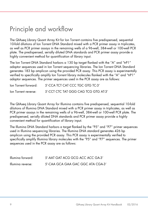# <span id="page-8-0"></span>Principle and workflow

The QIAseq Library Quant Array Kit for Ion Torrent contains five predispensed, sequential 10-fold dilutions of Ion Torrent DNA Standard mixed with a PCR primer assay in triplicates, as well as PCR primer assays in the remaining wells of a 96-well, 384-well or 100-well PCR plate. The predispensed, serially diluted DNA standards and PCR primer assay provide a highly convenient method for quantification of library input.

The Ion Torrent DNA Standard harbors a 130 bp target flanked with the "A" and "trP1" adaptor sequences used in Ion Torrent sequencing libraries. The Ion Torrent DNA Standard generates 183 bp amplicon using the provided PCR assay. This PCR assay is experimentally verified to specifically amplify Ion Torrent library molecules flanked with the "A" and "trP1" adaptor sequences. The primer sequences used in the PCR assay are as follows:

| Ion Torrent forward: | 5'-CCA TCT CAT CCC TGC GTG TC-3'     |
|----------------------|--------------------------------------|
| lon Torrent reverse: | 5'-CCT CTC TAT GGG CAG TCG GTG AT-3' |

The QIAseq Library Quant Array for Illumina contains five predispensed, sequential 10-fold dilutions of Illumina DNA Standard mixed with a PCR primer assay in triplicates, as well as PCR primer assays in the remaining wells of a 96-well, 384-well or 100-well PCR plate. The predispensed, serially diluted DNA standards and PCR primer assay provide a highly convenient method for quantification of library input.

The Illumina DNA Standard harbors a target flanked by the "P5" and "P7" primer sequences used in Illumina sequencing libraries. The Illumina DNA standard generates 426 bp amplicon using the provided PCR assay. This PCR assay is experimentally verified to specifically amplify Illumina library molecules with the "P5" and "P7" sequences. The primer sequences used in the PCR assay are as follows:

| Illumina forward: | 5'-AAT GAT ACG GCG ACC ACC GA-3'  |
|-------------------|-----------------------------------|
| Illumina reverse: | 5'-CAA GCA GAA GAC GGC ATA CGA-3' |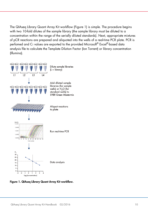The QIAseq Library Quant Array Kit workflow (Figure 1) is simple. The procedure begins with two 10-fold dilutes of the sample library (the sample library must be diluted to a concentration within the range of the serially diluted standards). Next, appropriate mixtures of pCR reactions are prepared and aliquoted into the wells of a real-time PCR plate. PCR is perfomed and Cī values are exported to the provided Microsoft® Excel®-based data analysis file to calculate the Template Dilution Factor (Ion Torrent) or library concentration (Illumina).



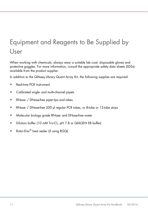# <span id="page-10-0"></span>Equipment and Reagents to Be Supplied by User

When working with chemicals, always wear a suitable lab coat, disposable gloves and protective goggles. For more information, consult the appropriate safety data sheets (SDSs) available from the product supplier.

In addition to the QIAseq Library Quant Array Kit, the following supplies are required:

- Real-time PCR instrument
- Calibrated single- and multi-channel pipets
- RNase- / DNase-free pipet tips and tubes
- RNase- / DNase-free 200 µl regular PCR tubes, or 8-tube or 12-tube strips
- Molecular biology grade RNase- and DNase-free water
- Dilution buffer (10 mM Tris•CL, pH 7.8 or QIAGEN EB buffer)
- $\bullet$  Rotor-Disc $^\circledR$  heat sealer (if using RGQ)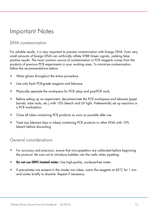### <span id="page-11-0"></span>Important Notes

### <span id="page-11-1"></span>DNA contamination

For reliable results, it is very important to prevent contamination with foreign DNA. Even very small amounts of foreign DNA can artificially inflate SYBR Green signals, yielding false positive results. The most common source of contamination in PCR reagents comes from the products of previous PCR experiments in your working area. To minimize contamination, follow the recommendations below:

- Wear gloves throughout the entire procedure.
- Use only fresh PCR-grade reagents and labware.
- Physically separate the workspace for PCR setup and post-PCR work.
- Before setting up an experiment, decontaminate the PCR workspace and labware (pipet barrels, tube racks, etc.) with 10% bleach and UV light. Preferentially set up reactions in a PCR workstation.
- Close all tubes containing PCR products as soon as possible after use.
- Treat any labware (tips or tubes) containing PCR products or other DNA with 10% bleach before discarding.

### <span id="page-11-2"></span>General considerations

- For accuracy and precision, ensure that micropipettors are calibrated before beginning the protocol. Be sure not to introduce bubbles into the wells when pipetting.
- Do not use DEPC-treated water. Use high-quality, nuclease-free water.
- If precipitates are present in the master mix tubes, warm the reagents at  $42^{\circ}$ C for 1 min and vortex briefly to dissolve. Repeat if necessary.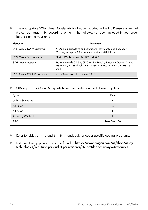• The appropriate SYBR Green Mastermix is already included in the kit. Please ensure that the correct master mix, according to the list that follows, has been included in your order before starting your runs.

| Master mix                        | Instrument                                                                                                                                    |
|-----------------------------------|-----------------------------------------------------------------------------------------------------------------------------------------------|
| SYBR Green ROX™ Mastermix         | All Applied Biosystems and Stratagene instruments, and Eppendorf<br>Mastercycler ep realplex instruments with a ROX filter set                |
| <b>SYBR Green Fluor Mastermix</b> | Bio-Rad iCycler, MyiQ, MyiQ2 and iQ 5                                                                                                         |
| <b>SYBR Green Mastermix</b>       | Bio-Rad models CFX96, CFX384, Bio-Rad/MJ Research Opticon 2, and<br>Bio-Rad/MJ Research Chromo4, Roche® LightCycler 480 (96- and 384-<br>well |
| SYBR Green ROX FAST Mastermix     | Rotor-Gene Q and Rotor-Gene 6000                                                                                                              |

• QIAseq Library Quant Array Kits have been tested on the following cyclers:

| Cycler               | Plate          |
|----------------------|----------------|
| Vii7A / Stratagene   | A              |
| ABI7500              | C              |
| ABI7900              | F              |
| Roche LightCycler II |                |
| <b>RGQ</b>           | Rotor-Disc 100 |

- Refer to tables 3, 4, 5 and 8 in this handbook for cycler-specific cycling programs.
- Instrument setup protocols can be found at [https://www.qiagen.com/us/shop/assay](https://www.qiagen.com/us/shop/assay-technologies/real-time-pcr-and-rt-pcr-reagents/rt2-profiler-pcr-arrays/#resources)[technologies/real-time-pcr-and-rt-pcr-reagents/rt2-profiler-pcr-arrays/#resources](https://www.qiagen.com/us/shop/assay-technologies/real-time-pcr-and-rt-pcr-reagents/rt2-profiler-pcr-arrays/#resources)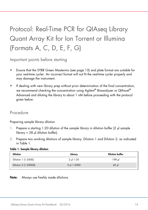# <span id="page-13-0"></span>Protocol: Real-Time PCR for QIAseq Library Quant Array Kit for Ion Torrent or Illumina (Formats A, C, D, E, F, G)

<span id="page-13-1"></span>Important points before starting

- Ensure that the SYBR Green Mastermix (see page 13) and plate format are suitable for your real-time cycler. An incorrect format will not fit the real-time cycler properly and may damage the instrument.
- If dealing with new library prep without prior determination of the final concentration, we recommend checking the concentration using Agilent $^\circ$  Bioanalyzer or QIAxcel $^\circ$ Advanced and diluting the library to about 1 nM before proceeding with the protocol given below.

### <span id="page-13-2"></span>Procedure

Preparing sample library dilution

- 1. Prepare a starting 1:20 dilution of the sample library in dilution buffer (2 µl sample library + 38 µl dilution buffer).
- 2. Prepare two working dilutions of sample library, Dilution 1 and Dilution 2, as indicated in Table 1.

| <b>Dilution</b>      | Library    | <b>Dilution buffer</b> |
|----------------------|------------|------------------------|
| Dilution 1 (1:2000)  | 2 ul 1:20  | 198 ul                 |
| Dilution 2 (1:20000) | 5 µ 1:2000 | $45$ µ                 |

#### Table 1. Sample library dilution

Note: Always use freshly made dilutions.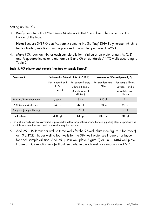#### Setting up the PCR

3. Briefly centrifuge the SYBR Green Mastermix (10–15 s) to bring the contents to the bottom of the tube.

Note: Because SYBR Green Mastermix contains HotStarTag® DNA Polymerase, which is heat-activated, reactions can be prepared at room temperature (15–25**°**C).

4. Make PCR reaction mix for each sample dilution (triplicates on plate formats A, C, D and F; quadruplicates on plate formats E and G) or standards / NTC wells according to Table 2.

#### Table 3. PCR mix for each sample (standard or sample library)\*

| Component                   |                                                        | Volumes for 96-well plate (A, C, D, F)                                   | Volumes for 384-well plate (E, G) |                                                                          |  |  |  |  |
|-----------------------------|--------------------------------------------------------|--------------------------------------------------------------------------|-----------------------------------|--------------------------------------------------------------------------|--|--|--|--|
|                             | For standard and<br><b>NTC</b><br>$(18 \text{ wells})$ | For sample library<br>Dilution 1 and 2<br>(3 wells for each<br>dilution) | For standard and<br><b>NTC</b>    | For sample library<br>Dilution 1 and 2<br>(4 wells for each<br>dilution) |  |  |  |  |
| RNase- / Dnase-free water   | $240$ µ                                                | $32 \mu$                                                                 | $150$ µ                           | 19 µl                                                                    |  |  |  |  |
| <b>SYBR Green Mastermix</b> | 240 µl                                                 | $42 \mu$                                                                 | 150 µl                            | $25 \mu$                                                                 |  |  |  |  |
| Template (sample library)   |                                                        | $10 \mu$                                                                 |                                   | $6 \mu$                                                                  |  |  |  |  |
| <b>Final volume</b>         | 480<br>μI                                              | 84 µI                                                                    | $300$ $\mu$                       | 50 µl                                                                    |  |  |  |  |

∗ For multiple wells, an excess volume is provided to allow for pipetting errors. Perform pipetting steps as precisely as possible to ensure that each well receives the required volume.

5. Add 25 µl PCR mix per well to three wells for the 96-well plate (see Figure 2 for layout) or 10 µl PCR mix per well to four wells for the 384-well plate (see Figure 3 for layout) for each sample dilution. Add 25 µl (96-well plate, Figure 2) or 10 µl (384-well plate, Figure 3) PCR reaction mix (without template) into each well for standards and NTC.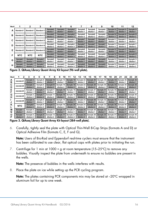| Well |                       | 2                     | 3                     | 4                                 | 5                     | 6                                 |                                   | 8                                 | 9                                 | 10                     | 11                     | 12                     |
|------|-----------------------|-----------------------|-----------------------|-----------------------------------|-----------------------|-----------------------------------|-----------------------------------|-----------------------------------|-----------------------------------|------------------------|------------------------|------------------------|
| А    | <b>Standard 1</b>     | <b>Standard 1</b>     | Standard 1            | Sample <sub>2</sub><br>dilution 1 | Sample2<br>dilution 1 | Sample <sub>2</sub><br>dilution 1 | Sample6<br>dilution 1             | Sample6<br>dilution 1             | Sample6<br>dilution 1             | Sample10<br>dilution 1 | Sample10<br>dilution 1 | Sample10<br>dilution 1 |
| в    | <b>Standard 2</b>     | <b>Standard 2</b>     | Standard 2            | Sample <sub>2</sub><br>dilution 2 | Sample2<br>dilution 2 | Sample <sub>2</sub><br>dilution 2 | Sample6<br>dilution 2             | Sample6<br>dilution 2             | Sample6<br>dilution 2             | Sample10<br>dilution 2 | Sample10<br>dilution 2 | Sample10<br>dilution 2 |
| c    | <b>Standard 3</b>     | <b>Standard 3</b>     | Standard 3            | Sample3<br>dilution 1             | Sample3<br>dilution 1 | Sample3<br>dilution 1             | Sample7<br>dilution 1             | Sample7<br>dilution 1             | Sample7<br>dilution 1             | Sample11<br>dilution 1 | Sample11<br>dilution 1 | Sample11<br>dilution 1 |
| D    | Standard 4            | Standard 4            | Standard 4            | Sample3<br>dilution 2             | Sample3<br>dilution 2 | Sample3<br>dilution 2             | Sample7<br>dilution 2             | Sample7<br>dilution 2             | Sample7<br>dilution 2             | Sample11<br>dilution 2 | Sample11<br>dilution 2 | Sample11<br>dilution 2 |
| Е    | <b>Standard 5</b>     | Standard 5            | Standard 5            | Sample4<br>dilution 1             | Sample4<br>dilution 1 | Sample4<br>dilution 1             | Sample <sub>8</sub><br>dilution 1 | Sample <sub>8</sub><br>dilution 1 | Sample <sub>8</sub><br>dilution 1 | Sample12<br>dilution 1 | Sample12<br>dilution 1 | Sample12<br>dilution 1 |
| F    | <b>NTC</b>            | <b>NTC</b>            | <b>NTC</b>            | Sample4<br>dilution 2             | Sample4<br>dilution 2 | Sample4<br>dilution 2             | Sample8<br>dilution 2             | Sample8<br>dilution 2             | Sample8<br>dilution 2             | Sample12<br>dilution 2 | Sample12<br>dilution 2 | Sample12<br>dilution 2 |
| G    | Sample1<br>dilution 1 | Sample1<br>dilution 1 | Sample1<br>dilution 1 | Sample5<br>dilution 1             | Sample5<br>dilution 1 | Sample5<br>dilution 1             | Sample9<br>dilution 1             | Sample9<br>dilution 1             | Sample9<br>dilution 1             | Sample13<br>dilution 1 | Sample13<br>dilution 1 | Sample13<br>dilution 1 |
| н    | Sample1<br>dilution 2 | Sample1<br>dilution 2 | Sample1<br>dilution 2 | Sample5<br>dilution 2             | Sample5<br>dilution 2 | Sample5<br>dilution 2             | Sample9<br>dilution 2             | Sample9<br>dilution 2             | Sample9<br>dilution 2             | Sample13<br>dilution 2 | Sample13<br>dilution 2 | Sample13<br>dilution 2 |

Figure 2. QIAseq Library Quant Array Kit layout (96-well plate).

| Well   |                        |  | 3                      | 4 | 5                      | 6                      |                         | 8                      | 9                       | 10                      | 11                      | 12 | 13                      | 14                      | 15                      | 16                      | 17                      | 18                      | 19                      | 20                                   | 21                      | 22                      | 23                      | 24                      |                         |  |                         |  |                         |  |                         |  |                         |  |                         |  |
|--------|------------------------|--|------------------------|---|------------------------|------------------------|-------------------------|------------------------|-------------------------|-------------------------|-------------------------|----|-------------------------|-------------------------|-------------------------|-------------------------|-------------------------|-------------------------|-------------------------|--------------------------------------|-------------------------|-------------------------|-------------------------|-------------------------|-------------------------|--|-------------------------|--|-------------------------|--|-------------------------|--|-------------------------|--|-------------------------|--|
| A<br>в | standard1              |  | Sample 2<br>dilution 1 |   |                        |                        |                         |                        |                         |                         |                         |    |                         |                         |                         |                         | Sample 6<br>dilution 1  |                         | Sample 10<br>dilution 1 |                                      | Sample 14<br>dilution 1 |                         | Sample 18<br>dilution 1 |                         | Sample 22<br>dilution 1 |  | Sample 26<br>dilution 1 |  | Sample 30<br>dilution 1 |  | Sample 34<br>dilution 1 |  | Sample 38<br>dilution 1 |  | Sample 42<br>dilution 1 |  |
| C<br>D | standard2              |  | Sample 2<br>dilution 2 |   |                        | Sample 6<br>dilution 2 | Sample10<br>dilution 2  |                        | Sample 14<br>dilution 2 |                         | Sample 18<br>dilution 2 |    |                         | Sample 22<br>dilution 2 |                         | Sample 26<br>dilution 2 |                         |                         |                         | Sample 30<br>dilution 2              |                         | Sample 34<br>dilution 2 | Sample 38<br>dilution 2 |                         | Sample 42<br>dilution 2 |  |                         |  |                         |  |                         |  |                         |  |                         |  |
| Е<br>F | standard3              |  | Sample 3<br>dilution 1 |   | Sample 7<br>dilution 1 |                        | Sample11<br>dilution 1  |                        | Sample 15<br>dilution 1 |                         | Sample 19<br>dilution 1 |    | Sample 23<br>dilution 1 |                         | Sample 27<br>dilution 1 |                         | Sample 31<br>dilution 1 |                         | Sample 35<br>dilution 1 |                                      | Sample 39<br>dilution 1 |                         | Sample 43<br>dilution 1 |                         |                         |  |                         |  |                         |  |                         |  |                         |  |                         |  |
| G<br>н | standard4              |  | Sample 3<br>dilution 2 |   | Sample 7<br>dilution 2 |                        | Sample 11<br>dilution 2 |                        | Sample 15<br>dilution 2 |                         | Sample 19<br>dilution 2 |    | Sample 23<br>dilution 2 |                         | Sample 27<br>dilution 2 |                         | Sample 31<br>dilution 2 |                         | Sample 35<br>dilution 2 |                                      | Sample 39<br>dilution 2 |                         | Sample 43<br>dilution 2 |                         |                         |  |                         |  |                         |  |                         |  |                         |  |                         |  |
| J      | standard5              |  | Sample 4<br>dilution 1 |   | Sample 8<br>dilution 1 |                        | Sample 12<br>dilution 1 |                        | Sample 16<br>dilution 1 |                         | Sample 20<br>dilution 1 |    | Sample 24<br>dilution 1 |                         | Sample 28<br>dilution 1 |                         | Sample 32<br>dilution 1 |                         | Sample 36<br>dilution 1 |                                      | Sample 40<br>dilution 1 |                         | Sample 44<br>dilution 1 |                         |                         |  |                         |  |                         |  |                         |  |                         |  |                         |  |
| Κ      | <b>NTC</b>             |  | Sample4<br>dilution 2  |   | Sample 8<br>dilution 2 |                        |                         | Sample12<br>dilution 2 |                         | Sample 16<br>dilution 2 |                         |    |                         | Sample 20<br>dilution 2 |                         |                         |                         | dilution 2              |                         | Sample 24<br>Sample 25<br>dilution 1 |                         |                         |                         | Sample 28<br>dilution 2 | Sample 32<br>dilution 2 |  | Sample 36<br>dilution 2 |  | Sample 40<br>dilution 2 |  | Sample 44<br>dilution 2 |  |                         |  |                         |  |
| М<br>N | Sample 1<br>dilution 1 |  | Sample 5<br>dilution 1 |   | Sample 9<br>dilution 1 |                        | Sample13<br>dilution 1  |                        | Sample 17<br>dilution 1 |                         | Sample 21<br>dilution 1 |    |                         | Sample 29<br>dilution 1 |                         |                         |                         | Sample 33<br>dilution 1 | Sample 37<br>dilution 1 |                                      |                         |                         |                         |                         | Sample 41<br>dilution 1 |  | Sample 45<br>dilution 1 |  |                         |  |                         |  |                         |  |                         |  |
| О<br>P | Sample 1<br>dilution 2 |  | Sample 5<br>dilution 2 |   | Sample 9<br>dilution 2 |                        | Sample 13<br>dilution 2 |                        | Sample 17<br>dilution 2 |                         | Sample 21<br>dilution 2 |    | Sample 25<br>dilution 2 |                         | Sample 29<br>dilution 2 |                         | Sample 33<br>dilution 2 |                         | Sample 37<br>dilution 2 |                                      | Sample 41<br>dilution 2 |                         | Sample 45<br>dilution 2 |                         |                         |  |                         |  |                         |  |                         |  |                         |  |                         |  |

Figure 3. QIAseq Library Quant Array Kit layout (384-well plate).

6. Carefully, tightly seal the plate with Optical Thin-Well 8-Cap Strips (formats A and D) or Optical Adhesive Film (formats C, E, F and G).

Note: Users of Bio-Rad and Eppendorf real-time cyclers must ensure that the instrument has been calibrated to use clear, flat optical caps with plates prior to initiating the run.

7. Centrifuge for 1 min at 1000 × g at room temperature (15–25**°**C) to remove any bubbles. Visually inspect the plate from underneath to ensure no bubbles are present in the wells.

Note: The presence of bubbles in the wells interferes with results.

8. Place the plate on ice while setting up the PCR cycling program.

Note: The plates containing PCR components mix may be stored at –20**°**C wrapped in aluminum foil for up to one week.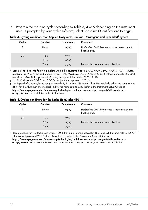9. Program the real-time cycler according to Table 3, 4 or 5 depending on the instrument used. If prompted by your cycler software, select "Absolute Quantification" to begin.

| Cycles | <b>Duration</b>  | Temperature    | <b>Comments</b>                                                 |
|--------|------------------|----------------|-----------------------------------------------------------------|
|        | $10 \text{ min}$ | 95°C           | HotStarTag DNA Polymerase is activated by this<br>heating step. |
| 30     | 15 <sub>s</sub>  | $95^{\circ}$ C |                                                                 |
|        | 30 <sub>s</sub>  | $60^{\circ}$ C |                                                                 |
|        | 2 min            | $72^{\circ}$ C | Perform fluorescence data collection.                           |

Table 3. Cycling conditions\* for Applied Biosystems, Bio-Rad†, Stratagene and Eppendorf‡ cyclers

Recommended for the following cyclers: Applied Biosystems models 5700, 7000, 7300, 7500, 7700. 7900HT. StepOnePlus, ViiA 7; Bio-Rad models iCycler, iQ5, MyiQ, MyiQ2, CFX96, CFX384; Stratagene models Mx3000P, Mx3005P, Mx4000P; Eppendorf Mastercycler ep realplex models 2, 2S, 4, 4S.

† For Bio-Rad models CFX96 and CFX384: adjust the ramp rate to 1°C / s.

‡ For Eppendorf Mastercyler ep realplex models 2, 2S, 4 and 4S: for the Silver Thermoblock, adjust the ramp rate to 26%; for the Aluminum Thermoblock, adjust the ramp rate to 35%. Refer to the Instrument Setup Guide at https://www.qiagen.com/us/shop/assay-technologies/real-time-pcr-and-rt-pcr-reagents/rt2-profiler-pcrarrays/#resources for detailed setup instructions.

#### Table 4. Cycling conditions for the Roche LightCycler 480 II\*

| Cycles | <b>Duration</b>                 | Temperature                                        | <b>Comments</b>                                                 |
|--------|---------------------------------|----------------------------------------------------|-----------------------------------------------------------------|
|        | $10 \text{ min}$                | 95°C                                               | HotStarTag DNA Polymerase is activated by this<br>heating step. |
| 35     | 15s<br>30 <sub>s</sub><br>2 min | $95^{\circ}$ C<br>$60^{\circ}$ C<br>$72^{\circ}$ C | Perform fluorescence data collection.                           |
|        |                                 |                                                    |                                                                 |

∗ Recommended for the Roche LightCycler 480 II. If using a Roche LightCycler 480 II, adjust the ramp rate to 1.5°C / s for 96-well plate and 2°C / s for 384-well plate. Refer to the "Instrument Setup Guide" at

https://www.qiagen.com/us/shop/assay-technologies/real-time-pcr-and-rt-pcr-reagents/rt2-profiler-pcrarrays/#resources for more information on other required changes to settings for melt curve acquisition.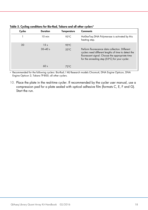| Cycles | Duration                       | Temperature                      | <b>Comments</b>                                                                                                                                                                                              |
|--------|--------------------------------|----------------------------------|--------------------------------------------------------------------------------------------------------------------------------------------------------------------------------------------------------------|
|        | $10 \text{ min}$               | $95^{\circ}$ C                   | HotStarTag DNA Polymerase is activated by this<br>heating step.                                                                                                                                              |
| 30     | 15 <sub>s</sub><br>$30 - 40 s$ | $95^{\circ}$ C<br>$55^{\circ}$ C | Perform fluorescence data collection. Different<br>cyclers need different lengths of time to detect the<br>fluorescent signal. Choose the appropriate time<br>for the annealing step (55°C) for your cycler. |
|        | 60 <sub>s</sub>                | $72^{\circ}$ C                   |                                                                                                                                                                                                              |

|  |  | Table 5. Cycling conditions for Bio-Rad, Takara and all other cyclers* |  |  |  |  |  |  |
|--|--|------------------------------------------------------------------------|--|--|--|--|--|--|
|--|--|------------------------------------------------------------------------|--|--|--|--|--|--|

∗ Recommended for the following cyclers: Bio-Rad / MJ Research models Chromo4, DNA Engine Opticon, DNA Engine Opticon 2; Takara TP-800; all other cyclers.

10. Place the plate in the real-time cycler. If recommended by the cycler user manual, use a compression pad for a plate sealed with optical adhesive film (formats C, E, F and G). Start the run.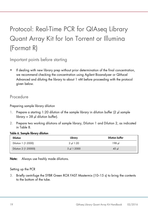# <span id="page-18-0"></span>Protocol: Real-Time PCR for QIAseq Library Quant Array Kit for Ion Torrent or Illumina (Format R)

<span id="page-18-1"></span>Important points before starting

• If dealing with new library prep without prior determination of the final concentration, we recommend checking the concentration using Agilent Bioanalyzer or QIAxcel Advanced and diluting the library to about 1 nM before proceeding with the protocol given below.

### <span id="page-18-2"></span>Procedure

Preparing sample library dilution

- 1. Prepare a starting 1:20 dilution of the sample library in dilution buffer (2 µl sample  $library + 38$  µ dilution buffer).
- 2. Prepare two working dilutions of sample library, Dilution 1 and Dilution 2, as indicated in Table 8.

#### Table 6. Sample library dilution

| <b>Dilution</b>      | Library    | <b>Dilution buffer</b> |
|----------------------|------------|------------------------|
| Dilution 1 (1:2000)  | 2 ul 1:20  | 198 ul                 |
| Dilution 2 (1:20000) | 5 µ 1:2000 | $45$ µ                 |

Note: Always use freshly made dilutions.

#### Setting up the PCR

3. Briefly centrifuge the SYBR Green ROX FAST Mastermix (10–15 s) to bring the contents to the bottom of the tube.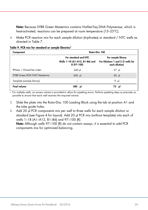Note: Because SYBR Green Mastermix contains HotStarTaq DNA Polymerase, which is heat-activated, reactions can be prepared at room temperature (15–25**°**C).

4. Make PCR reaction mix for each sample dilution (triplicates) or standard / NTC wells as directed in Table 7.

| Component                     | Rotor-Disc 100                                                       |                                                                            |  |  |
|-------------------------------|----------------------------------------------------------------------|----------------------------------------------------------------------------|--|--|
|                               | For standard and NTC<br>Wells 1-18 (A1-A12, B1-B6) and<br>R (97-100) | For sample library<br>For Dilutions 1 and 2 (3 wells for<br>each dilution) |  |  |
| RNase- / Dnase-free water     | $240$ µ                                                              | $27 \text{ }\mu$                                                           |  |  |
| SYBR Green ROX FAST Mastermix | $240$ µ                                                              | $36$ µ                                                                     |  |  |
| Template (sample library)     |                                                                      | 9 $\mu$                                                                    |  |  |
| <b>Final volume</b>           | 480 µl                                                               | 72 µl                                                                      |  |  |

Table 9. PCR mix for standard or sample libraries\*

∗ For multiple wells, an excess volume is provided to allow for pipetting errors. Perform pipetting steps as precisely as possible to ensure that each well receives the required volume.

- 5. Slide the plate into the Rotor-Disc 100 Loading Block using the tab at position A1 and the tube guide holes.
- 6. Add 20 µl PCR components mix per well to three wells for each sample dilution or standard (see Figure 4 for layout). Add 20 µl PCR mix (without template) into each of wells 1–18 (A1–A12, B1–B6) and 97–100 (R).

Note: Although wells 97–100 (R) do not contain assays, it is essential to add PCR components mix for optimized balancing.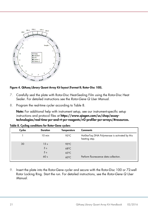

#### Figure 4. QIAseq Library Quant Array Kit layout (Format R; Rotor-Disc 100).

- 7. Carefully seal the plate with Rotor-Disc Heat-Sealing Film using the Rotor-Disc Heat Sealer. For detailed instructions see the *Rotor-Gene Q User Manual*.
- 8. Program the real-time cycler according to Table 8.

Note: For additional help with instrument setup, see our instrument-specific setup instructions and protocol files at [https://www.qiagen.com/us/shop/assay](https://www.qiagen.com/us/shop/assay-technologies/real-time-pcr-and-rt-pcr-reagents/rt2-profiler-pcr-arrays/#resources)[technologies/real-time-pcr-and-rt-pcr-reagents/rt2-profiler-pcr-arrays/#resources.](https://www.qiagen.com/us/shop/assay-technologies/real-time-pcr-and-rt-pcr-reagents/rt2-profiler-pcr-arrays/#resources)

| Cycles | <b>Duration</b>                   | Temperature                      | <b>Comments</b>                                                 |
|--------|-----------------------------------|----------------------------------|-----------------------------------------------------------------|
|        | $10 \text{ min}$                  | 95°C                             | HotStarTag DNA Polymerase is activated by this<br>heating step. |
| 30     | 15 <sub>s</sub><br>5 <sub>s</sub> | $95^{\circ}$ C<br>$68^{\circ}$ C |                                                                 |
|        | 5 <sub>s</sub><br>60 <sub>s</sub> | $65^{\circ}$ C<br>$60^{\circ}$ C | Perform fluorescence data collection.                           |

Table 8. Cycling conditions for Rotor-Gene cyclers

9. Insert the plate into the Rotor-Gene cycler and secure with the Rotor-Disc 100 or 72-well Rotor Locking Ring. Start the run. For detailed instructions, see the *Rotor-Gene Q User Manual*.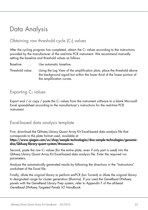### <span id="page-21-0"></span>Data Analysis

### <span id="page-21-1"></span>Obtaining raw threshold cycle  $|C_T|$  values

After the cycling program has completed, obtain the  $C<sub>T</sub>$  values according to the instructions provided by the manufacturer of the real-time PCR instrument. We recommend manually setting the baseline and threshold values as follows.

Baseline: Use automatic baseline.

Threshold value: Using the Log View of the amplification plots, place the threshold above the background signal but within the lower third of the linear portion of the amplification curves.

### <span id="page-21-2"></span>Exporting  $C<sub>T</sub>$  values

Export and  $/$  or copy  $/$  paste the  $C<sub>T</sub>$  values from the instrument software to a blank Microsoft Excel spreadsheet according to the manufacturer's instructions for the real-time PCR instrument.

### <span id="page-21-3"></span>Excel-based data analysis template

First, download the QIAseq Library Quant Array Kit Excel-based data analysis file that corresponds to the plate format used, available at [https://www.qiagen.com/us/shop/sample-technologies/dna-sample-technologies/genomic](https://www.qiagen.com/us/shop/sample-technologies/dna-sample-technologies/genomic-dna/QIAseq-library-quant-system/#resources)[dna/QIAseq-library-quant-system/#resources.](https://www.qiagen.com/us/shop/sample-technologies/dna-sample-technologies/genomic-dna/QIAseq-library-quant-system/#resources)

Second, paste the raw  $C_T$  values (for the entire plate, even if only part is used) into the QIAseq Library Quant Array Kit Excel-based data analysis file. Enter the required run parameters.

Analyze the automatically generated results by following the directions in the "Instructions" worksheet of the Excel file.

Finally, dilute the original library to perform emPCR (Ion Torrent) or dilute the original library to designated range for cluster generation (Illumina). If you used the GeneRead DNAseq panels with the GeneRead Library Prep system, refer to Appendix F of the all-bead *GeneRead DNAseq Targeted Panels V2 Handbook*.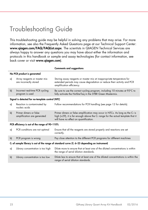# <span id="page-22-0"></span>Troubleshooting Guide

This troubleshooting guide may be helpful in solving any problems that may arise. For more information, see also the Frequently Asked Questions page at our Technical Support Center: www.qiagen.com/FAQ/FAQList.aspx. The scientists in QIAGEN Technical Services are always happy to answer any questions you may have about either the information and protocols in this handbook or sample and assay technologies (for contact information, see back cover or visit [www.qiagen.com](http://www.qiagen.com/)).

|                                                                                                   |                                                        | <b>Comments and suggestions</b>                                                                                                                                                                               |  |  |  |  |  |
|---------------------------------------------------------------------------------------------------|--------------------------------------------------------|---------------------------------------------------------------------------------------------------------------------------------------------------------------------------------------------------------------|--|--|--|--|--|
|                                                                                                   | No PCR product is generated                            |                                                                                                                                                                                                               |  |  |  |  |  |
| a)                                                                                                | Array reagents or master mix<br>are incorrectly stored | Storing assay reagents or master mix at inappropriate temperature for<br>extended periods may cause degradation or reduce their activity and PCR<br>amplification efficiency.                                 |  |  |  |  |  |
| $\mathsf{b}$                                                                                      | Incorrect real-time PCR cycling<br>program is used     | Be sure to use the correct cycling program, including 10 minutes at 95°C to<br>fully activate the HotStarTag in the SYBR Green Mastermix.                                                                     |  |  |  |  |  |
|                                                                                                   | Signal is detected for no-template control (NTC)       |                                                                                                                                                                                                               |  |  |  |  |  |
| a)                                                                                                | Reaction is contaminated by<br>nucleic acids           | Follow recommendations for PCR handling (see page 12 for details).                                                                                                                                            |  |  |  |  |  |
| b)                                                                                                | Primer dimers or false<br>amplification are generated  | Primer dimers or false amplification may occur in NTCs. As long as the $CT$ is<br>high (>29), it is far enough above the $CT$ range for the actual template that it<br>will have no effect on quantification. |  |  |  |  |  |
|                                                                                                   | PCR efficiency is out of the range of 90-110%          |                                                                                                                                                                                                               |  |  |  |  |  |
| a)                                                                                                | PCR conditions are not optimal                         | Ensure that all the reagents are stored properly and reactions are set<br>correctly.                                                                                                                          |  |  |  |  |  |
| b)                                                                                                | PCR program is wrong                                   | Pay close attention to the different PCR programs for different machines                                                                                                                                      |  |  |  |  |  |
| $CT$ of sample library is out of the range of standard curve ( $CT$ 6-25 depending on instrument) |                                                        |                                                                                                                                                                                                               |  |  |  |  |  |
| a)                                                                                                | Library concentration is too high                      | Dilute more to ensure that at least one of the diluted concentrations is within<br>the range of serial dilution standards.                                                                                    |  |  |  |  |  |
| b)                                                                                                | Library concentration is too low                       | Dilute less to ensure that at least one of the diluted concentrations is within the<br>range of serial dilution standards.                                                                                    |  |  |  |  |  |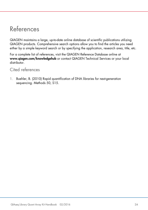### <span id="page-23-0"></span>References

QIAGEN maintains a large, up-to-date online database of scientific publications utilizing QIAGEN products. Comprehensive search options allow you to find the articles you need either by a simple keyword search or by specifying the application, research area, title, etc.

For a complete list of references, visit the QIAGEN Reference Database online at [www.qiagen.com/knowledgehub](http://www.qiagen.com/knowledgehub) or contact QIAGEN Technical Services or your local distributor.

### <span id="page-23-1"></span>Cited references

1. Buehler, B. (2010) Rapid quantification of DNA libraries for next-generation sequencing. Methods 50, S15.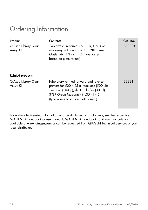### <span id="page-24-0"></span>Ordering Information

| Product                                  | <b>Contents</b>                                                                                                                                                                                                           | Cat. no. |
|------------------------------------------|---------------------------------------------------------------------------------------------------------------------------------------------------------------------------------------------------------------------------|----------|
| <b>QlAseq Library Quant</b><br>Array Kit | Two arrays in Formats A, C, D, F or R or<br>one array in Format E or G; SYBR Green<br>Mastermix (1.35 ml $\times$ 2) (type varies<br>based on plate format)                                                               | 333304   |
| <b>Related products</b>                  |                                                                                                                                                                                                                           |          |
| QIAseq Library Quant<br>Assay Kit        | Laboratory-verified forward and reverse<br>primers for 500 $\times$ 25 µl reactions (500 µl);<br>standard (100 µl); dilution buffer (30 ml);<br>SYBR Green Mastermix (1.35 ml × 5)<br>(type varies based on plate format) | 333314   |

For up-to-date licensing information and product-specific disclaimers, see the respective QIAGEN kit handbook or user manual. QIAGEN kit handbooks and user manuals are available at [www.qiagen.com](http://www.qiagen.com/) or can be requested from QIAGEN Technical Services or your local distributor.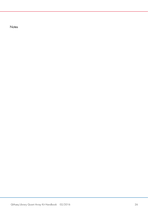**Notes**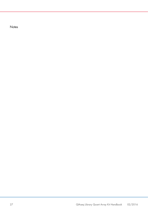**Notes**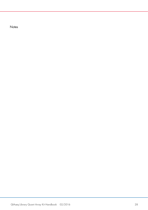**Notes**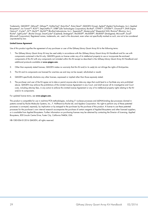Trademarks: QIAGEN®, QIAxcel®, QIAseq™, HotStarTaq®, Rotor-Disc®, Rotor-Gene®, (QIAGEN Group); Agilent® (Agilent Technologies, Inc.); Applied Biosystems®, Ion Torrent™, ROX™, StepOnePlus™, SYBR® (Life Technologies Corporation); Bio-Rad®, CFX96™, CFX384™, Chromo4™, DNA Engine Opticon®, iCycler®, iQ™, MyiQ™, MyiQ2™ (Bio-Rad Laboratories, Inc.); Eppendorf®, Mastercycler® (Eppendorf AG); Illumina® (Illumina, Inc.); Roche®, LightCycler® (Roche Group); SmartCycler® (Cepheid); Stratagene®, Mx3005P®, Mx3000P®, Mx4000® (Stratagene); Microsoft®, Excel® (Microsoft Corporation). Registered names, trademarks, etc. used in this document, even when not specifically marked as such, are not to be considered unprotected by law.

#### Limited License Agreement

Use of this product signifies the agreement of any purchaser or user of the QIAseq Library Quant Array Kit to the following terms:

- 1. The *QIAseq Library Quant Array Kit* may be used solely in accordance with the *QIAseq Library Quant Array Kit Handbook* and for use with components contained in the Kit only. QIAGEN grants no license under any of its intellectual property to use or incorporate the enclosed components of this Kit with any components not included within this Kit except as described in the *QIAseq Library Quant Array Kit Handbook* and additional protocols available at www.qiagen.com.
- 2. Other than expressly stated licenses, QIAGEN makes no warranty that this Kit and/or its use(s) do not infringe the rights of third-parties.
- 3. This Kit and its components are licensed for one-time use and may not be reused, refurbished or resold.
- 4. QIAGEN specifically disclaims any other licenses, expressed or implied other than those expressly stated.
- 5. The purchaser and user of the Kit agree not to take or permit anyone else to take any steps that could lead to or facilitate any acts prohibited above. QIAGEN may enforce the prohibitions of this Limited License Agreement in any Court, and shall recover all its investigative and Court costs, including attorney fees, in any action to enforce this Limited License Agreement or any of its intellectual property rights relating to the Kit and/or its components.

#### For updated license terms, see www.qiagen.com.

This product is compatible for use in real-time PCR methodologies, including 5' nuclease processes and dsDNA-binding dye processes claimed in patents owned by Roche Molecular Systems, Inc., F. Hoffmann-La Roche Ltd, and Applera Corporation. No right to perform any of these patented processes is conveyed, expressly, by implication or by estoppel to the purchaser by the purchase of this product. A license to use these patented processes for the purchaser's own internal research accompanies the purchase of certain reagents of Applied Biosystems and other licensed suppliers, or is available from Applied Biosystems. Further information on purchasing licenses may be obtained by contacting the Director of Licensing, Applied Biosystems, 850 Lincoln Centre Drive, Foster City, California 94404, USA.

HB-1385-004 © 2016 QIAGEN, all rights reserved.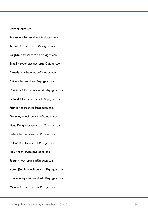#### www.qiagen.com

- Australia  $*$  techservice-au@qiagen.com
- Austria · techservice-at@qiagen.com
- Belgium · techservice-bnl@qiagen.com
- **Brazil** suportetecnico.brasil@qiagen.com
- Canada · techservice-ca@qiagen.com
- $China \equiv$  techservice-cn@aiagen.com
- Denmark · techservice-nordic@qiagen.com
- Finland  $\blacksquare$  techservice-nordic@qiagen.com
- **France**  $\equiv$  techservice-fr@qiagen.com
- Germany · techservice-de@qiagen.com
- Hong Kong  $\equiv$  techservice-hk@qiagen.com
- India  $\blacksquare$  techservice-india@aiagen.com
- Ireland  $\equiv$  techservice-uk@qiagen.com
- Italy **e** techservice-it@qiagen.com
- **Japan**  $\blacksquare$  techservice-jp@qiagen.com
- Korea (South) = techservice-kr@qiagen.com
- Luxembourg  $=$  techservice-bnl@qiagen.com
- $Mexico$  = techservice-mx@qiagen.com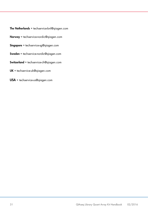- The Netherlands  $\blacksquare$  techservice-bnl@qiagen.com
- Norway **E** techservice-nordic@qiagen.com
- Singapore · techservice-sg@qiagen.com
- Sweden · techservice-nordic@qiagen.com
- Switzerland · techservice-ch@qiagen.com
- $UK =$  techservice-uk@qiagen.com
- USA · [techservice-us@qiagen.com](mailto:techservice-us@qiagen.com)